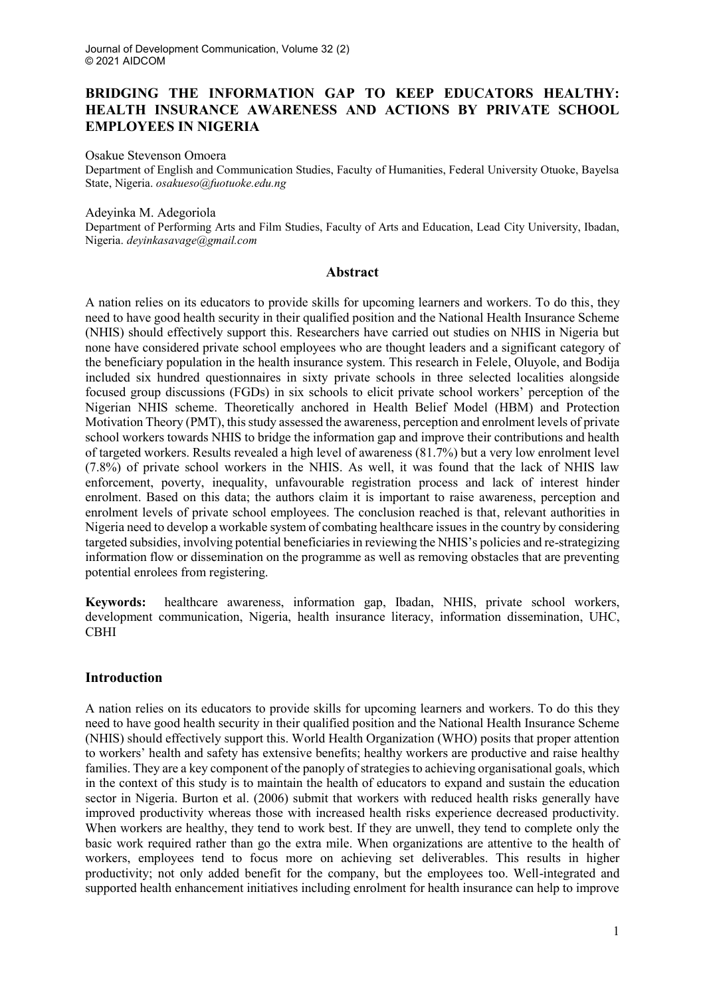# **BRIDGING THE INFORMATION GAP TO KEEP EDUCATORS HEALTHY: HEALTH INSURANCE AWARENESS AND ACTIONS BY PRIVATE SCHOOL EMPLOYEES IN NIGERIA**

#### Osakue Stevenson Omoera

Department of English and Communication Studies, Faculty of Humanities, Federal University Otuoke, Bayelsa State, Nigeria. *osakueso@fuotuoke.edu.ng*

#### Adeyinka M. Adegoriola

Department of Performing Arts and Film Studies, Faculty of Arts and Education, Lead City University, Ibadan, Nigeria. *deyinkasavage@gmail.com*

#### **Abstract**

A nation relies on its educators to provide skills for upcoming learners and workers. To do this, they need to have good health security in their qualified position and the National Health Insurance Scheme (NHIS) should effectively support this. Researchers have carried out studies on NHIS in Nigeria but none have considered private school employees who are thought leaders and a significant category of the beneficiary population in the health insurance system. This research in Felele, Oluyole, and Bodija included six hundred questionnaires in sixty private schools in three selected localities alongside focused group discussions (FGDs) in six schools to elicit private school workers' perception of the Nigerian NHIS scheme. Theoretically anchored in Health Belief Model (HBM) and Protection Motivation Theory (PMT), this study assessed the awareness, perception and enrolment levels of private school workers towards NHIS to bridge the information gap and improve their contributions and health of targeted workers. Results revealed a high level of awareness (81.7%) but a very low enrolment level (7.8%) of private school workers in the NHIS. As well, it was found that the lack of NHIS law enforcement, poverty, inequality, unfavourable registration process and lack of interest hinder enrolment. Based on this data; the authors claim it is important to raise awareness, perception and enrolment levels of private school employees. The conclusion reached is that, relevant authorities in Nigeria need to develop a workable system of combating healthcare issues in the country by considering targeted subsidies, involving potential beneficiaries in reviewing the NHIS's policies and re-strategizing information flow or dissemination on the programme as well as removing obstacles that are preventing potential enrolees from registering.

**Keywords:** healthcare awareness, information gap, Ibadan, NHIS, private school workers, development communication, Nigeria, health insurance literacy, information dissemination, UHC, CBHI

## **Introduction**

A nation relies on its educators to provide skills for upcoming learners and workers. To do this they need to have good health security in their qualified position and the National Health Insurance Scheme (NHIS) should effectively support this. World Health Organization (WHO) posits that proper attention to workers' health and safety has extensive benefits; healthy workers are productive and raise healthy families. They are a key component of the panoply of strategies to achieving organisational goals, which in the context of this study is to maintain the health of educators to expand and sustain the education sector in Nigeria. Burton et al. (2006) submit that workers with reduced health risks generally have improved productivity whereas those with increased health risks experience decreased productivity. When workers are healthy, they tend to work best. If they are unwell, they tend to complete only the basic work required rather than go the extra mile. When organizations are attentive to the health of workers, employees tend to focus more on achieving set deliverables. This results in higher productivity; not only added benefit for the company, but the employees too. Well-integrated and supported health enhancement initiatives including enrolment for health insurance can help to improve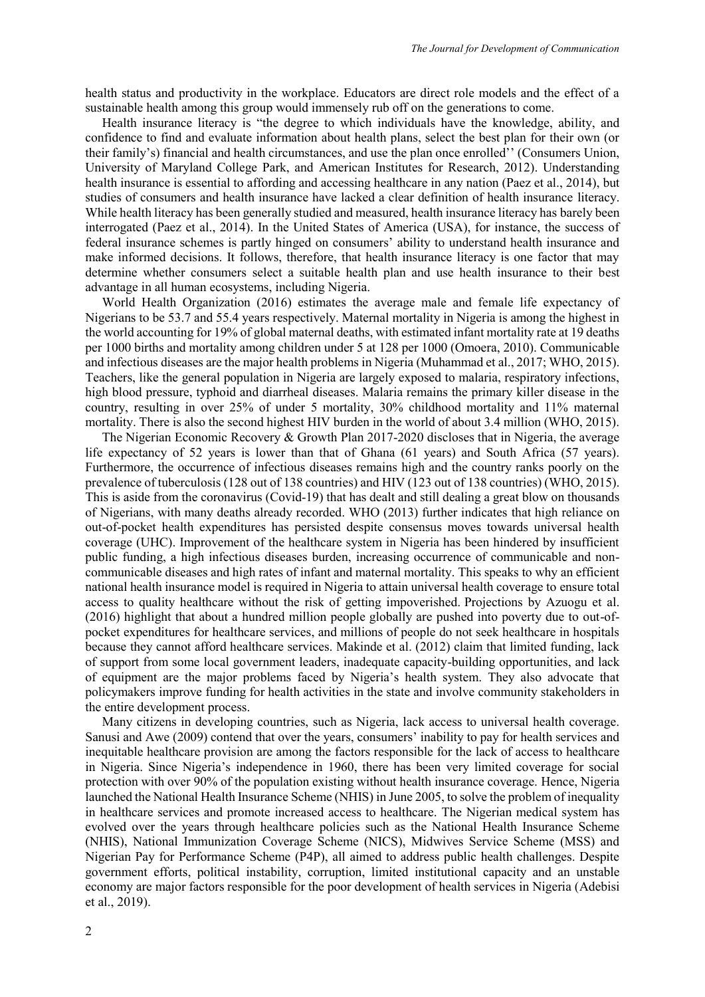health status and productivity in the workplace. Educators are direct role models and the effect of a sustainable health among this group would immensely rub off on the generations to come.

Health insurance literacy is "the degree to which individuals have the knowledge, ability, and confidence to find and evaluate information about health plans, select the best plan for their own (or their family's) financial and health circumstances, and use the plan once enrolled'' (Consumers Union, University of Maryland College Park, and American Institutes for Research, 2012). Understanding health insurance is essential to affording and accessing healthcare in any nation (Paez et al., 2014), but studies of consumers and health insurance have lacked a clear definition of health insurance literacy. While health literacy has been generally studied and measured, health insurance literacy has barely been interrogated (Paez et al., 2014). In the United States of America (USA), for instance, the success of federal insurance schemes is partly hinged on consumers' ability to understand health insurance and make informed decisions. It follows, therefore, that health insurance literacy is one factor that may determine whether consumers select a suitable health plan and use health insurance to their best advantage in all human ecosystems, including Nigeria.

World Health Organization (2016) estimates the average male and female life expectancy of Nigerians to be 53.7 and 55.4 years respectively. Maternal mortality in Nigeria is among the highest in the world accounting for 19% of global maternal deaths, with estimated infant mortality rate at 19 deaths per 1000 births and mortality among children under 5 at 128 per 1000 (Omoera, 2010). Communicable and infectious diseases are the major health problems in Nigeria (Muhammad et al., 2017; WHO, 2015). Teachers, like the general population in Nigeria are largely exposed to malaria, respiratory infections, high blood pressure, typhoid and diarrheal diseases. Malaria remains the primary killer disease in the country, resulting in over 25% of under 5 mortality, 30% childhood mortality and 11% maternal mortality. There is also the second highest HIV burden in the world of about 3.4 million (WHO, 2015).

The Nigerian Economic Recovery & Growth Plan 2017-2020 discloses that in Nigeria, the average life expectancy of 52 years is lower than that of Ghana (61 years) and South Africa (57 years). Furthermore, the occurrence of infectious diseases remains high and the country ranks poorly on the prevalence of tuberculosis (128 out of 138 countries) and HIV (123 out of 138 countries) (WHO, 2015). This is aside from the coronavirus (Covid-19) that has dealt and still dealing a great blow on thousands of Nigerians, with many deaths already recorded. WHO (2013) further indicates that high reliance on out-of-pocket health expenditures has persisted despite consensus moves towards universal health coverage (UHC). Improvement of the healthcare system in Nigeria has been hindered by insufficient public funding, a high infectious diseases burden, increasing occurrence of communicable and noncommunicable diseases and high rates of infant and maternal mortality. This speaks to why an efficient national health insurance model is required in Nigeria to attain universal health coverage to ensure total access to quality healthcare without the risk of getting impoverished. Projections by Azuogu et al. (2016) highlight that about a hundred million people globally are pushed into poverty due to out-ofpocket expenditures for healthcare services, and millions of people do not seek healthcare in hospitals because they cannot afford healthcare services. Makinde et al. (2012) claim that limited funding, lack of support from some local government leaders, inadequate capacity-building opportunities, and lack of equipment are the major problems faced by Nigeria's health system. They also advocate that policymakers improve funding for health activities in the state and involve community stakeholders in the entire development process.

Many citizens in developing countries, such as Nigeria, lack access to universal health coverage. Sanusi and Awe (2009) contend that over the years, consumers' inability to pay for health services and inequitable healthcare provision are among the factors responsible for the lack of access to healthcare in Nigeria. Since Nigeria's independence in 1960, there has been very limited coverage for social protection with over 90% of the population existing without health insurance coverage. Hence, Nigeria launched the National Health Insurance Scheme (NHIS) in June 2005, to solve the problem of inequality in healthcare services and promote increased access to healthcare. The Nigerian medical system has evolved over the years through healthcare policies such as the National Health Insurance Scheme (NHIS), National Immunization Coverage Scheme (NICS), Midwives Service Scheme (MSS) and Nigerian Pay for Performance Scheme (P4P), all aimed to address public health challenges. Despite government efforts, political instability, corruption, limited institutional capacity and an unstable economy are major factors responsible for the poor development of health services in Nigeria (Adebisi et al., 2019).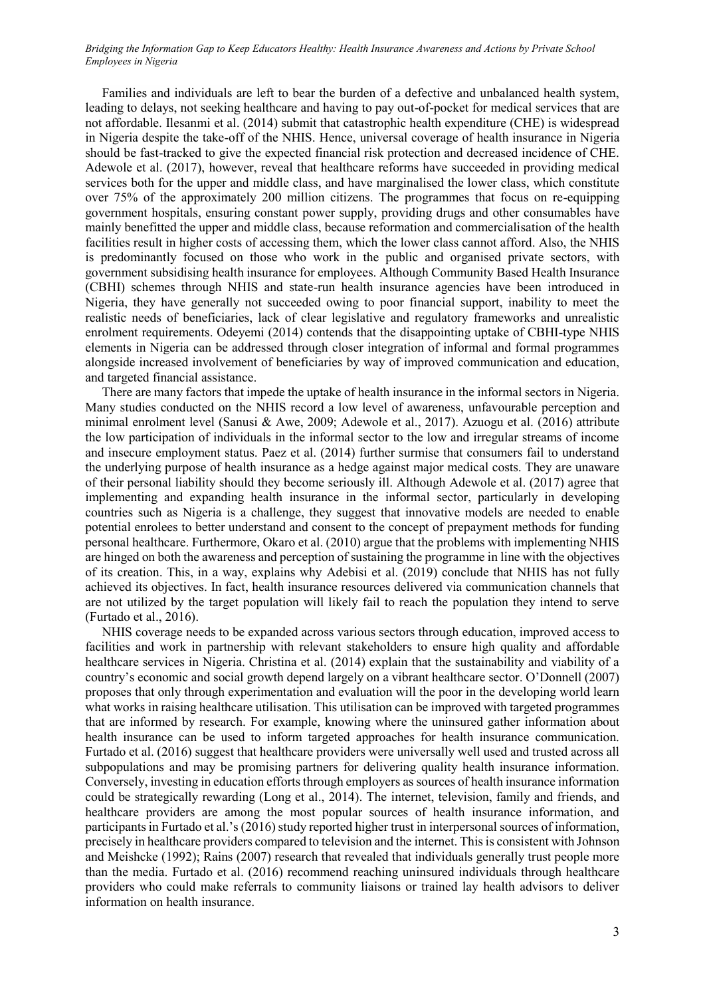Families and individuals are left to bear the burden of a defective and unbalanced health system, leading to delays, not seeking healthcare and having to pay out-of-pocket for medical services that are not affordable. [Ilesanmi](https://www.ncbi.nlm.nih.gov/pubmed/?term=Ilesanmi%20OS%5BAuthor%5D&cauthor=true&cauthor_uid=24847483) et al. (2014) submit that catastrophic health expenditure (CHE) is widespread in Nigeria despite the take-off of the NHIS. Hence, universal coverage of health insurance in Nigeria should be fast-tracked to give the expected financial risk protection and decreased incidence of CHE. Adewole et al. (2017), however, reveal that healthcare reforms have succeeded in providing medical services both for the upper and middle class, and have marginalised the lower class, which constitute over 75% of the approximately 200 million citizens. The programmes that focus on re-equipping government hospitals, ensuring constant power supply, providing drugs and other consumables have mainly benefitted the upper and middle class, because reformation and commercialisation of the health facilities result in higher costs of accessing them, which the lower class cannot afford. Also, the NHIS is predominantly focused on those who work in the public and organised private sectors, with government subsidising health insurance for employees. Although Community Based Health Insurance (CBHI) schemes through NHIS and state-run health insurance agencies have been introduced in Nigeria, they have generally not succeeded owing to poor financial support, inability to meet the realistic needs of beneficiaries, lack of clear legislative and regulatory frameworks and unrealistic enrolment requirements. Odeyemi (2014) contends that the disappointing uptake of CBHI-type NHIS elements in Nigeria can be addressed through closer integration of informal and formal programmes alongside increased involvement of beneficiaries by way of improved communication and education, and targeted financial assistance.

There are many factors that impede the uptake of health insurance in the informal sectors in Nigeria. Many studies conducted on the NHIS record a low level of awareness, unfavourable perception and minimal enrolment level (Sanusi & Awe, 2009; Adewole et al., 2017). Azuogu et al. (2016) attribute the low participation of individuals in the informal sector to the low and irregular streams of income and insecure employment status. Paez et al. (2014) further surmise that consumers fail to understand the underlying purpose of health insurance as a hedge against major medical costs. They are unaware of their personal liability should they become seriously ill. Although Adewole et al. (2017) agree that implementing and expanding health insurance in the informal sector, particularly in developing countries such as Nigeria is a challenge, they suggest that innovative models are needed to enable potential enrolees to better understand and consent to the concept of prepayment methods for funding personal healthcare. Furthermore, Okaro et al. (2010) argue that the problems with implementing NHIS are hinged on both the awareness and perception of sustaining the programme in line with the objectives of its creation. This, in a way, explains why Adebisi et al. (2019) conclude that NHIS has not fully achieved its objectives. In fact, health insurance resources delivered via communication channels that are not utilized by the target population will likely fail to reach the population they intend to serve (Furtado et al., 2016).

NHIS coverage needs to be expanded across various sectors through education, improved access to facilities and work in partnership with relevant stakeholders to ensure high quality and affordable healthcare services in Nigeria. Christina et al. (2014) explain that the sustainability and viability of a country's economic and social growth depend largely on a vibrant healthcare sector. O'Donnell (2007) proposes that only through experimentation and evaluation will the poor in the developing world learn what works in raising healthcare utilisation. This utilisation can be improved with targeted programmes that are informed by research. For example, knowing where the uninsured gather information about health insurance can be used to inform targeted approaches for health insurance communication. Furtado et al. (2016) suggest that healthcare providers were universally well used and trusted across all subpopulations and may be promising partners for delivering quality health insurance information. Conversely, investing in education efforts through employers as sources of health insurance information could be strategically rewarding (Long et al., 2014). The internet, television, family and friends, and healthcare providers are among the most popular sources of health insurance information, and participants in Furtado et al.'s (2016) study reported higher trust in interpersonal sources of information, precisely in healthcare providers compared to television and the internet. This is consistent with Johnson and Meishcke (1992); Rains (2007) research that revealed that individuals generally trust people more than the media. Furtado et al. (2016) recommend reaching uninsured individuals through healthcare providers who could make referrals to community liaisons or trained lay health advisors to deliver information on health insurance.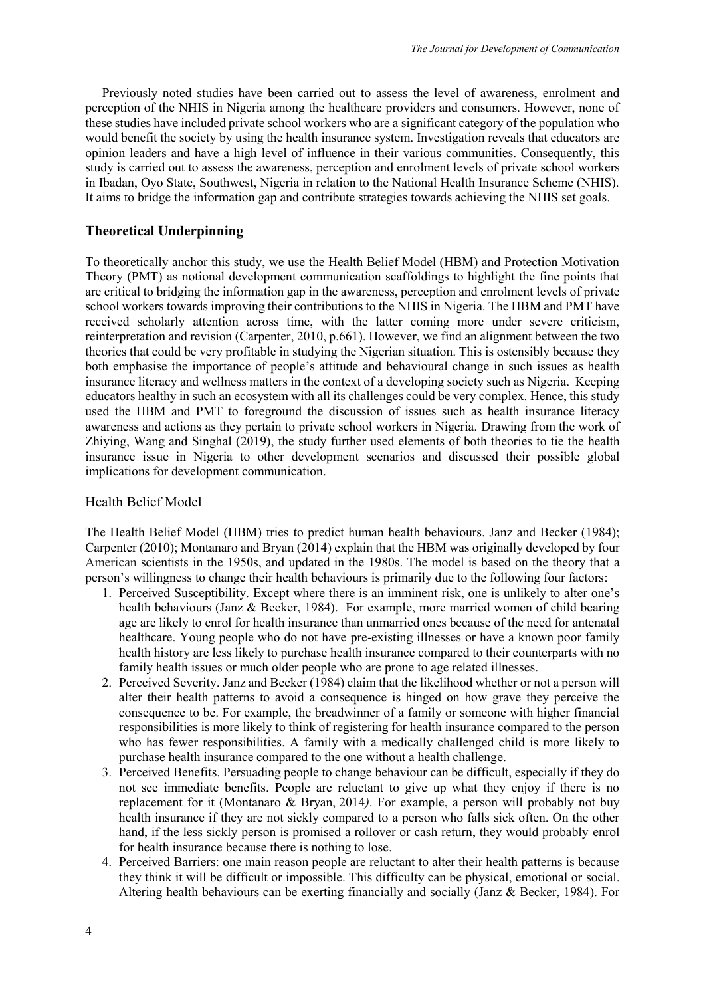Previously noted studies have been carried out to assess the level of awareness, enrolment and perception of the NHIS in Nigeria among the healthcare providers and consumers. However, none of these studies have included private school workers who are a significant category of the population who would benefit the society by using the health insurance system. Investigation reveals that educators are opinion leaders and have a high level of influence in their various communities. Consequently, this study is carried out to assess the awareness, perception and enrolment levels of private school workers in Ibadan, Oyo State, Southwest, Nigeria in relation to the National Health Insurance Scheme (NHIS). It aims to bridge the information gap and contribute strategies towards achieving the NHIS set goals.

### **Theoretical Underpinning**

To theoretically anchor this study, we use the Health Belief Model (HBM) and Protection Motivation Theory (PMT) as notional development communication scaffoldings to highlight the fine points that are critical to bridging the information gap in the awareness, perception and enrolment levels of private school workers towards improving their contributions to the NHIS in Nigeria. The HBM and PMT have received scholarly attention across time, with the latter coming more under severe criticism, reinterpretation and revision (Carpenter, 2010, p.661). However, we find an alignment between the two theories that could be very profitable in studying the Nigerian situation. This is ostensibly because they both emphasise the importance of people's attitude and behavioural change in such issues as health insurance literacy and wellness matters in the context of a developing society such as Nigeria. Keeping educators healthy in such an ecosystem with all its challenges could be very complex. Hence, this study used the HBM and PMT to foreground the discussion of issues such as health insurance literacy awareness and actions as they pertain to private school workers in Nigeria. Drawing from the work of Zhiying, Wang and Singhal (2019), the study further used elements of both theories to tie the health insurance issue in Nigeria to other development scenarios and discussed their possible global implications for development communication.

### Health Belief Model

The Health Belief Model (HBM) tries to predict human health behaviours. Janz and Becker (1984); Carpenter (2010); Montanaro and Bryan (2014) explain that the HBM was originally developed by four American scientists in the 1950s, and updated in the 1980s. The model is based on the theory that a person's willingness to change their health behaviours is primarily due to the following four factors:

- 1. Perceived Susceptibility. Except where there is an imminent risk, one is unlikely to alter one's health behaviours (Janz & Becker, 1984). For example, more married women of child bearing age are likely to enrol for health insurance than unmarried ones because of the need for antenatal healthcare. Young people who do not have pre-existing illnesses or have a known poor family health history are less likely to purchase health insurance compared to their counterparts with no family health issues or much older people who are prone to age related illnesses.
- 2. Perceived Severity. Janz and Becker (1984) claim that the likelihood whether or not a person will alter their health patterns to avoid a consequence is hinged on how grave they perceive the consequence to be. For example, the breadwinner of a family or someone with higher financial responsibilities is more likely to think of registering for health insurance compared to the person who has fewer responsibilities. A family with a medically challenged child is more likely to purchase health insurance compared to the one without a health challenge.
- 3. Perceived Benefits. Persuading people to change behaviour can be difficult, especially if they do not see immediate benefits. People are reluctant to give up what they enjoy if there is no replacement for it (Montanaro & Bryan, 2014*)*. For example, a person will probably not buy health insurance if they are not sickly compared to a person who falls sick often. On the other hand, if the less sickly person is promised a rollover or cash return, they would probably enrol for health insurance because there is nothing to lose.
- 4. Perceived Barriers: one main reason people are reluctant to alter their health patterns is because they think it will be difficult or impossible. This difficulty can be physical, emotional or social. Altering health behaviours can be exerting financially and socially (Janz & Becker, 1984). For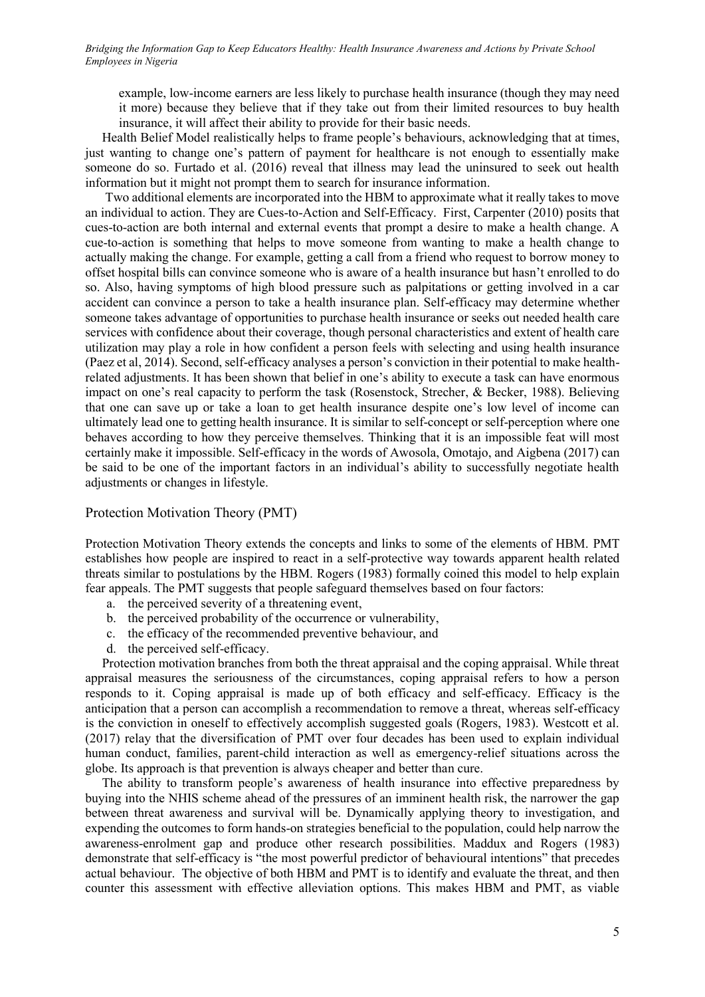example, low-income earners are less likely to purchase health insurance (though they may need it more) because they believe that if they take out from their limited resources to buy health insurance, it will affect their ability to provide for their basic needs.

Health Belief Model realistically helps to frame people's behaviours, acknowledging that at times, just wanting to change one's pattern of payment for healthcare is not enough to essentially make someone do so. Furtado et al. (2016) reveal that illness may lead the uninsured to seek out health information but it might not prompt them to search for insurance information.

Two additional elements are incorporated into the HBM to approximate what it really takes to move an individual to action. They are Cues-to-Action and Self-Efficacy. First, Carpenter (2010) posits that cues-to-action are both internal and external events that prompt a desire to make a health change. A cue-to-action is something that helps to move someone from wanting to make a health change to actually making the change. For example, getting a call from a friend who request to borrow money to offset hospital bills can convince someone who is aware of a health insurance but hasn't enrolled to do so. Also, having symptoms of high blood pressure such as palpitations or getting involved in a car accident can convince a person to take a health insurance plan. Self-efficacy may determine whether someone takes advantage of opportunities to purchase health insurance or seeks out needed health care services with confidence about their coverage, though personal characteristics and extent of health care utilization may play a role in how confident a person feels with selecting and using health insurance (Paez et al, 2014). Second, self-efficacy analyses a person's conviction in their potential to make healthrelated adjustments. It has been shown that belief in one's ability to execute a task can have enormous impact on one's real capacity to perform the task (Rosenstock, Strecher, & Becker, 1988). Believing that one can save up or take a loan to get health insurance despite one's low level of income can ultimately lead one to getting health insurance. It is similar to self-concept or self-perception where one behaves according to how they perceive themselves. Thinking that it is an impossible feat will most certainly make it impossible. Self-efficacy in the words of Awosola, Omotajo, and Aigbena (2017) can be said to be one of the important factors in an individual's ability to successfully negotiate health adjustments or changes in lifestyle.

### Protection Motivation Theory (PMT)

Protection Motivation Theory extends the concepts and links to some of the elements of HBM. PMT establishes how people are inspired to react in a self-protective way towards apparent health related threats similar to postulations by the HBM. Rogers (1983) formally coined this model to help explain fear appeals. The PMT suggests that people safeguard themselves based on four factors:

- a. the perceived severity of a threatening event,
- b. the perceived probability of the occurrence or vulnerability,
- c. the efficacy of the recommended preventive behaviour, and
- d. the perceived self-efficacy.

Protection motivation branches from both the threat appraisal and the coping appraisal. While threat appraisal measures the seriousness of the circumstances, coping appraisal refers to how a person responds to it. Coping appraisal is made up of both efficacy and self-efficacy. Efficacy is the anticipation that a person can accomplish a recommendation to remove a threat, whereas self-efficacy is the conviction in oneself to effectively accomplish suggested goals (Rogers, 1983). Westcott et al. (2017) relay that the diversification of PMT over four decades has been used to explain individual human conduct, families, parent-child interaction as well as emergency-relief situations across the globe. Its approach is that prevention is always cheaper and better than cure.

The ability to transform people's awareness of health insurance into effective preparedness by buying into the NHIS scheme ahead of the pressures of an imminent health risk, the narrower the gap between threat awareness and survival will be. Dynamically applying theory to investigation, and expending the outcomes to form hands-on strategies beneficial to the population, could help narrow the awareness-enrolment gap and produce other research possibilities. Maddux and Rogers (1983) demonstrate that self-efficacy is "the most powerful predictor of behavioural intentions" that precedes actual behaviour. The objective of both HBM and PMT is to identify and evaluate the threat, and then counter this assessment with effective alleviation options. This makes HBM and PMT, as viable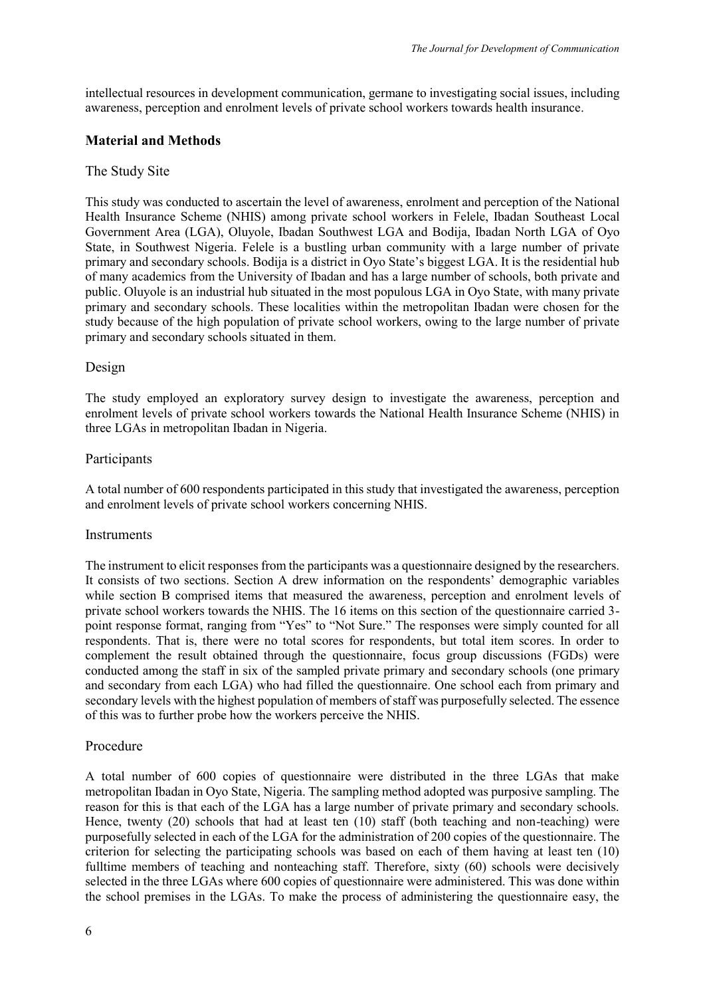intellectual resources in development communication, germane to investigating social issues, including awareness, perception and enrolment levels of private school workers towards health insurance.

## **Material and Methods**

## The Study Site

This study was conducted to ascertain the level of awareness, enrolment and perception of the National Health Insurance Scheme (NHIS) among private school workers in Felele, Ibadan Southeast Local Government Area (LGA), Oluyole, Ibadan Southwest LGA and Bodija, Ibadan North LGA of Oyo State, in Southwest Nigeria. Felele is a bustling urban community with a large number of private primary and secondary schools. Bodija is a district in Oyo State's biggest LGA. It is the residential hub of many academics from the University of Ibadan and has a large number of schools, both private and public. Oluyole is an industrial hub situated in the most populous LGA in Oyo State, with many private primary and secondary schools. These localities within the metropolitan Ibadan were chosen for the study because of the high population of private school workers, owing to the large number of private primary and secondary schools situated in them.

## Design

The study employed an exploratory survey design to investigate the awareness, perception and enrolment levels of private school workers towards the National Health Insurance Scheme (NHIS) in three LGAs in metropolitan Ibadan in Nigeria.

## Participants

A total number of 600 respondents participated in this study that investigated the awareness, perception and enrolment levels of private school workers concerning NHIS.

#### **Instruments**

The instrument to elicit responses from the participants was a questionnaire designed by the researchers. It consists of two sections. Section A drew information on the respondents' demographic variables while section B comprised items that measured the awareness, perception and enrolment levels of private school workers towards the NHIS. The 16 items on this section of the questionnaire carried 3 point response format, ranging from "Yes" to "Not Sure." The responses were simply counted for all respondents. That is, there were no total scores for respondents, but total item scores. In order to complement the result obtained through the questionnaire, focus group discussions (FGDs) were conducted among the staff in six of the sampled private primary and secondary schools (one primary and secondary from each LGA) who had filled the questionnaire. One school each from primary and secondary levels with the highest population of members of staff was purposefully selected. The essence of this was to further probe how the workers perceive the NHIS.

## Procedure

A total number of 600 copies of questionnaire were distributed in the three LGAs that make metropolitan Ibadan in Oyo State, Nigeria. The sampling method adopted was purposive sampling. The reason for this is that each of the LGA has a large number of private primary and secondary schools. Hence, twenty (20) schools that had at least ten (10) staff (both teaching and non-teaching) were purposefully selected in each of the LGA for the administration of 200 copies of the questionnaire. The criterion for selecting the participating schools was based on each of them having at least ten (10) fulltime members of teaching and nonteaching staff. Therefore, sixty (60) schools were decisively selected in the three LGAs where 600 copies of questionnaire were administered. This was done within the school premises in the LGAs. To make the process of administering the questionnaire easy, the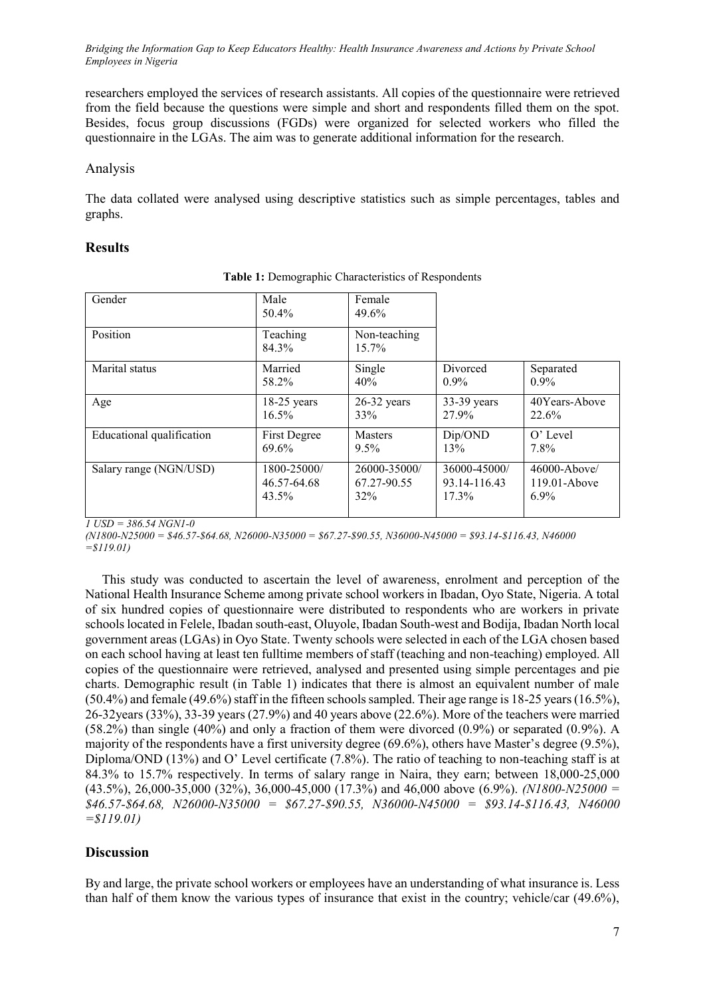researchers employed the services of research assistants. All copies of the questionnaire were retrieved from the field because the questions were simple and short and respondents filled them on the spot. Besides, focus group discussions (FGDs) were organized for selected workers who filled the questionnaire in the LGAs. The aim was to generate additional information for the research.

Analysis

The data collated were analysed using descriptive statistics such as simple percentages, tables and graphs.

#### **Results**

| Gender                    | Male<br>$50.4\%$  | Female<br>49.6%          |              |                  |
|---------------------------|-------------------|--------------------------|--------------|------------------|
| Position                  | Teaching<br>84.3% | Non-teaching<br>$15.7\%$ |              |                  |
| Marital status            | Married           | Single                   | Divorced     | Separated        |
|                           | 58.2%             | 40%                      | $0.9\%$      | $0.9\%$          |
| Age                       | $18-25$ years     | $26-32$ years            | 33-39 years  | 40Years-Above    |
|                           | 16.5%             | 33%                      | 27.9%        | 22.6%            |
| Educational qualification | First Degree      | <b>Masters</b>           | Dip/OND      | $O'$ Level       |
|                           | 69.6%             | $9.5\%$                  | 13%          | 7.8%             |
| Salary range (NGN/USD)    | 1800-25000/       | 26000-35000/             | 36000-45000/ | $46000 -$ Above/ |
|                           | 46.57-64.68       | 67.27-90.55              | 93.14-116.43 | $119.01 -$ Above |
|                           | 43.5%             | 32%                      | 17.3%        | $6.9\%$          |

**Table 1:** Demographic Characteristics of Respondents

*1 USD = 386.54 NGN1-0*

*(N1800-N25000 = \$46.57-\$64.68, N26000-N35000 = \$67.27-\$90.55, N36000-N45000 = \$93.14-\$116.43, N46000 =\$119.01)*

This study was conducted to ascertain the level of awareness, enrolment and perception of the National Health Insurance Scheme among private school workers in Ibadan, Oyo State, Nigeria. A total of six hundred copies of questionnaire were distributed to respondents who are workers in private schools located in Felele, Ibadan south-east, Oluyole, Ibadan South-west and Bodija, Ibadan North local government areas (LGAs) in Oyo State. Twenty schools were selected in each of the LGA chosen based on each school having at least ten fulltime members of staff (teaching and non-teaching) employed. All copies of the questionnaire were retrieved, analysed and presented using simple percentages and pie charts. Demographic result (in Table 1) indicates that there is almost an equivalent number of male (50.4%) and female (49.6%) staff in the fifteen schools sampled. Their age range is 18-25 years (16.5%), 26-32years (33%), 33-39 years (27.9%) and 40 years above (22.6%). More of the teachers were married (58.2%) than single (40%) and only a fraction of them were divorced (0.9%) or separated (0.9%). A majority of the respondents have a first university degree (69.6%), others have Master's degree (9.5%), Diploma/OND (13%) and O' Level certificate (7.8%). The ratio of teaching to non-teaching staff is at 84.3% to 15.7% respectively. In terms of salary range in Naira, they earn; between 18,000-25,000 (43.5%), 26,000-35,000 (32%), 36,000-45,000 (17.3%) and 46,000 above (6.9%). *(N1800-N25000 = \$46.57-\$64.68, N26000-N35000 = \$67.27-\$90.55, N36000-N45000 = \$93.14-\$116.43, N46000 =\$119.01)*

## **Discussion**

By and large, the private school workers or employees have an understanding of what insurance is. Less than half of them know the various types of insurance that exist in the country; vehicle/car (49.6%),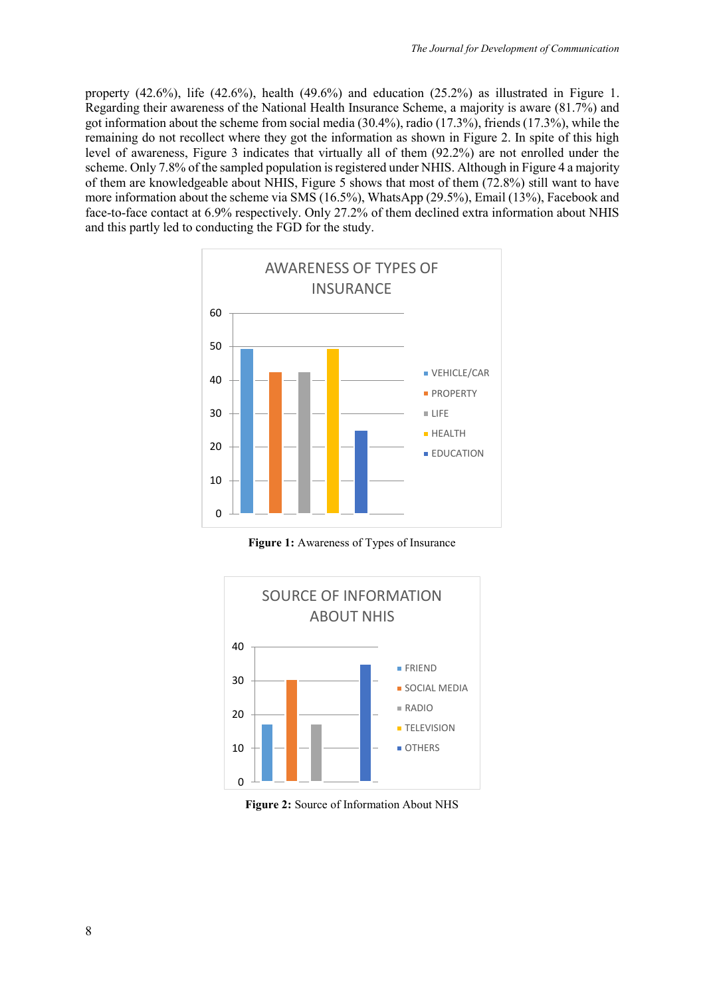property  $(42.6\%)$ , life  $(42.6\%)$ , health  $(49.6\%)$  and education  $(25.2\%)$  as illustrated in Figure 1. Regarding their awareness of the National Health Insurance Scheme, a majority is aware (81.7%) and got information about the scheme from social media (30.4%), radio (17.3%), friends (17.3%), while the remaining do not recollect where they got the information as shown in Figure 2. In spite of this high level of awareness, Figure 3 indicates that virtually all of them (92.2%) are not enrolled under the scheme. Only 7.8% of the sampled population is registered under NHIS. Although in Figure 4 a majority of them are knowledgeable about NHIS, Figure 5 shows that most of them (72.8%) still want to have more information about the scheme via SMS (16.5%), WhatsApp (29.5%), Email (13%), Facebook and face-to-face contact at 6.9% respectively. Only 27.2% of them declined extra information about NHIS and this partly led to conducting the FGD for the study.



**Figure 1:** Awareness of Types of Insurance



Figure 2: Source of Information About NHS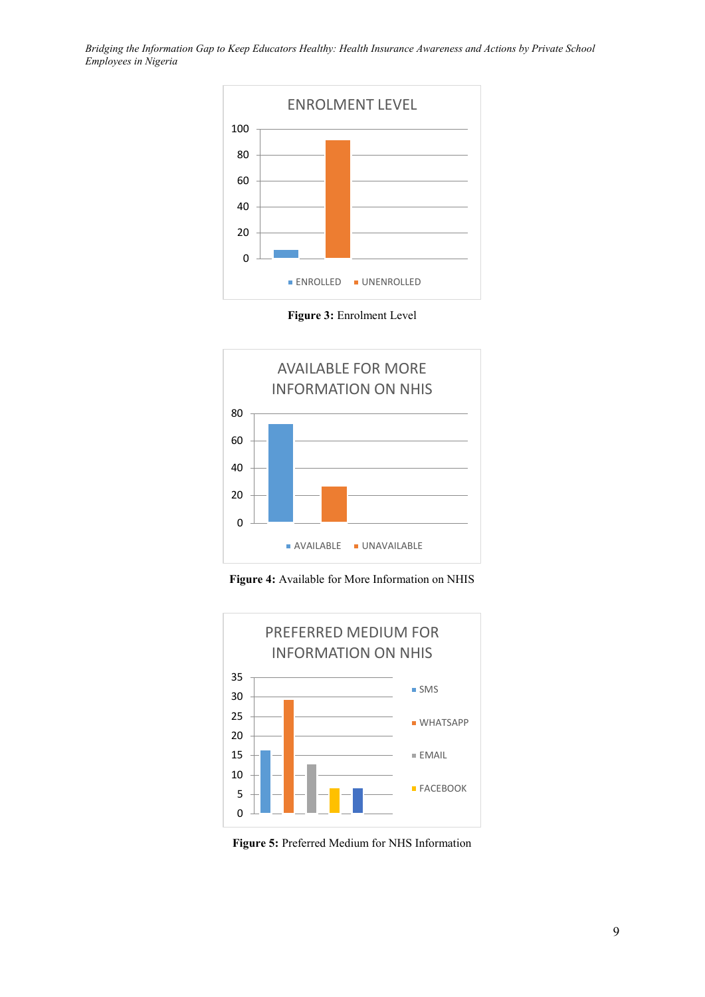









**Figure 5:** Preferred Medium for NHS Information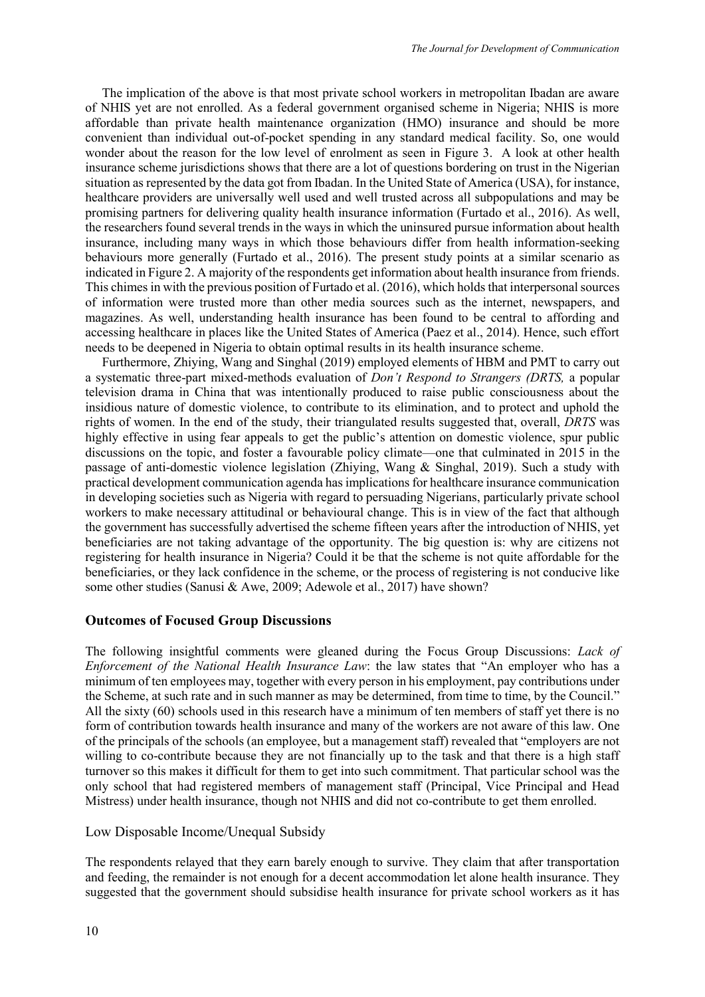The implication of the above is that most private school workers in metropolitan Ibadan are aware of NHIS yet are not enrolled. As a federal government organised scheme in Nigeria; NHIS is more affordable than private health maintenance organization (HMO) insurance and should be more convenient than individual out-of-pocket spending in any standard medical facility. So, one would wonder about the reason for the low level of enrolment as seen in Figure 3. A look at other health insurance scheme jurisdictions shows that there are a lot of questions bordering on trust in the Nigerian situation as represented by the data got from Ibadan. In the United State of America (USA), for instance, healthcare providers are universally well used and well trusted across all subpopulations and may be promising partners for delivering quality health insurance information (Furtado et al., 2016). As well, the researchers found several trends in the ways in which the uninsured pursue information about health insurance, including many ways in which those behaviours differ from health information-seeking behaviours more generally (Furtado et al., 2016). The present study points at a similar scenario as indicated in Figure 2. A majority of the respondents get information about health insurance from friends. This chimes in with the previous position of Furtado et al. (2016), which holds that interpersonal sources of information were trusted more than other media sources such as the internet, newspapers, and magazines. As well, understanding health insurance has been found to be central to affording and accessing healthcare in places like the United States of America (Paez et al., 2014). Hence, such effort needs to be deepened in Nigeria to obtain optimal results in its health insurance scheme.

Furthermore, Zhiying, Wang and Singhal (2019) employed elements of HBM and PMT to carry out a systematic three-part mixed-methods evaluation of *Don't Respond to Strangers (DRTS,* a popular television drama in China that was intentionally produced to raise public consciousness about the insidious nature of domestic violence, to contribute to its elimination, and to protect and uphold the rights of women. In the end of the study, their triangulated results suggested that, overall, *DRTS* was highly effective in using fear appeals to get the public's attention on domestic violence, spur public discussions on the topic, and foster a favourable policy climate—one that culminated in 2015 in the passage of anti-domestic violence legislation (Zhiying, Wang & Singhal, 2019). Such a study with practical development communication agenda has implications for healthcare insurance communication in developing societies such as Nigeria with regard to persuading Nigerians, particularly private school workers to make necessary attitudinal or behavioural change. This is in view of the fact that although the government has successfully advertised the scheme fifteen years after the introduction of NHIS, yet beneficiaries are not taking advantage of the opportunity. The big question is: why are citizens not registering for health insurance in Nigeria? Could it be that the scheme is not quite affordable for the beneficiaries, or they lack confidence in the scheme, or the process of registering is not conducive like some other studies (Sanusi & Awe, 2009; Adewole et al., 2017) have shown?

#### **Outcomes of Focused Group Discussions**

The following insightful comments were gleaned during the Focus Group Discussions: *Lack of Enforcement of the National Health Insurance Law*: the law states that "An employer who has a minimum of ten employees may, together with every person in his employment, pay contributions under the Scheme, at such rate and in such manner as may be determined, from time to time, by the Council." All the sixty (60) schools used in this research have a minimum of ten members of staff yet there is no form of contribution towards health insurance and many of the workers are not aware of this law. One of the principals of the schools (an employee, but a management staff) revealed that "employers are not willing to co-contribute because they are not financially up to the task and that there is a high staff turnover so this makes it difficult for them to get into such commitment. That particular school was the only school that had registered members of management staff (Principal, Vice Principal and Head Mistress) under health insurance, though not NHIS and did not co-contribute to get them enrolled.

Low Disposable Income/Unequal Subsidy

The respondents relayed that they earn barely enough to survive. They claim that after transportation and feeding, the remainder is not enough for a decent accommodation let alone health insurance. They suggested that the government should subsidise health insurance for private school workers as it has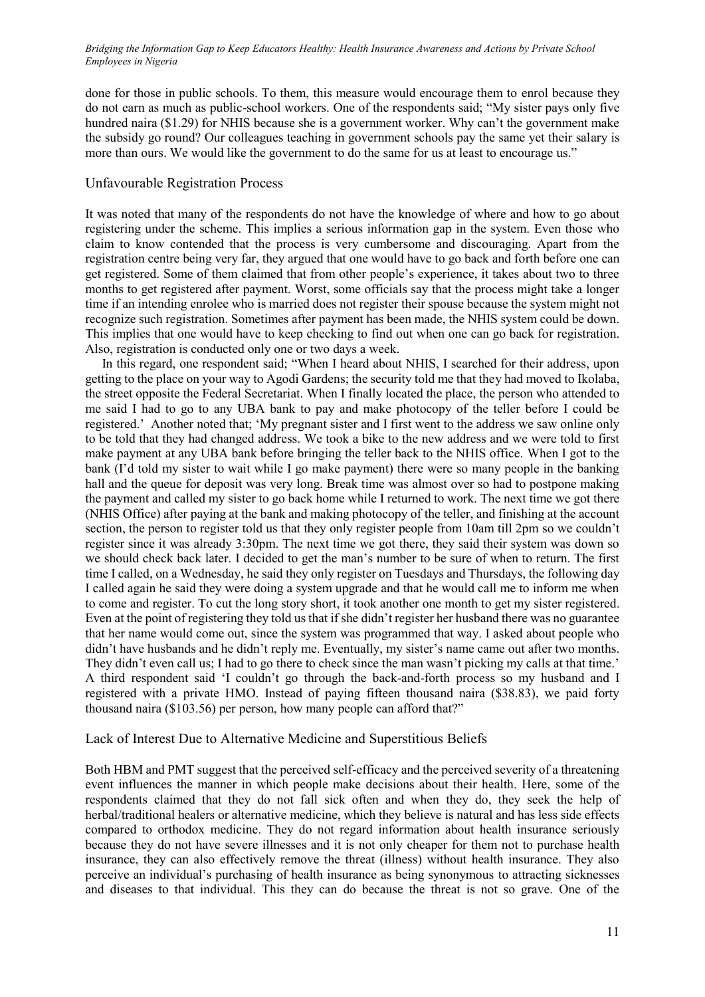done for those in public schools. To them, this measure would encourage them to enrol because they do not earn as much as public-school workers. One of the respondents said; "My sister pays only five hundred naira (\$1.29) for NHIS because she is a government worker. Why can't the government make the subsidy go round? Our colleagues teaching in government schools pay the same yet their salary is more than ours. We would like the government to do the same for us at least to encourage us."

## Unfavourable Registration Process

It was noted that many of the respondents do not have the knowledge of where and how to go about registering under the scheme. This implies a serious information gap in the system. Even those who claim to know contended that the process is very cumbersome and discouraging. Apart from the registration centre being very far, they argued that one would have to go back and forth before one can get registered. Some of them claimed that from other people's experience, it takes about two to three months to get registered after payment. Worst, some officials say that the process might take a longer time if an intending enrolee who is married does not register their spouse because the system might not recognize such registration. Sometimes after payment has been made, the NHIS system could be down. This implies that one would have to keep checking to find out when one can go back for registration. Also, registration is conducted only one or two days a week.

In this regard, one respondent said; "When I heard about NHIS, I searched for their address, upon getting to the place on your way to Agodi Gardens; the security told me that they had moved to Ikolaba, the street opposite the Federal Secretariat. When I finally located the place, the person who attended to me said I had to go to any UBA bank to pay and make photocopy of the teller before I could be registered.' Another noted that; 'My pregnant sister and I first went to the address we saw online only to be told that they had changed address. We took a bike to the new address and we were told to first make payment at any UBA bank before bringing the teller back to the NHIS office. When I got to the bank (I'd told my sister to wait while I go make payment) there were so many people in the banking hall and the queue for deposit was very long. Break time was almost over so had to postpone making the payment and called my sister to go back home while I returned to work. The next time we got there (NHIS Office) after paying at the bank and making photocopy of the teller, and finishing at the account section, the person to register told us that they only register people from 10am till 2pm so we couldn't register since it was already 3:30pm. The next time we got there, they said their system was down so we should check back later. I decided to get the man's number to be sure of when to return. The first time I called, on a Wednesday, he said they only register on Tuesdays and Thursdays, the following day I called again he said they were doing a system upgrade and that he would call me to inform me when to come and register. To cut the long story short, it took another one month to get my sister registered. Even at the point of registering they told us that if she didn't register her husband there was no guarantee that her name would come out, since the system was programmed that way. I asked about people who didn't have husbands and he didn't reply me. Eventually, my sister's name came out after two months. They didn't even call us; I had to go there to check since the man wasn't picking my calls at that time.' A third respondent said 'I couldn't go through the back-and-forth process so my husband and I registered with a private HMO. Instead of paying fifteen thousand naira (\$38.83), we paid forty thousand naira (\$103.56) per person, how many people can afford that?"

#### Lack of Interest Due to Alternative Medicine and Superstitious Beliefs

Both HBM and PMT suggest that the perceived self-efficacy and the perceived severity of a threatening event influences the manner in which people make decisions about their health. Here, some of the respondents claimed that they do not fall sick often and when they do, they seek the help of herbal/traditional healers or alternative medicine, which they believe is natural and has less side effects compared to orthodox medicine. They do not regard information about health insurance seriously because they do not have severe illnesses and it is not only cheaper for them not to purchase health insurance, they can also effectively remove the threat (illness) without health insurance. They also perceive an individual's purchasing of health insurance as being synonymous to attracting sicknesses and diseases to that individual. This they can do because the threat is not so grave. One of the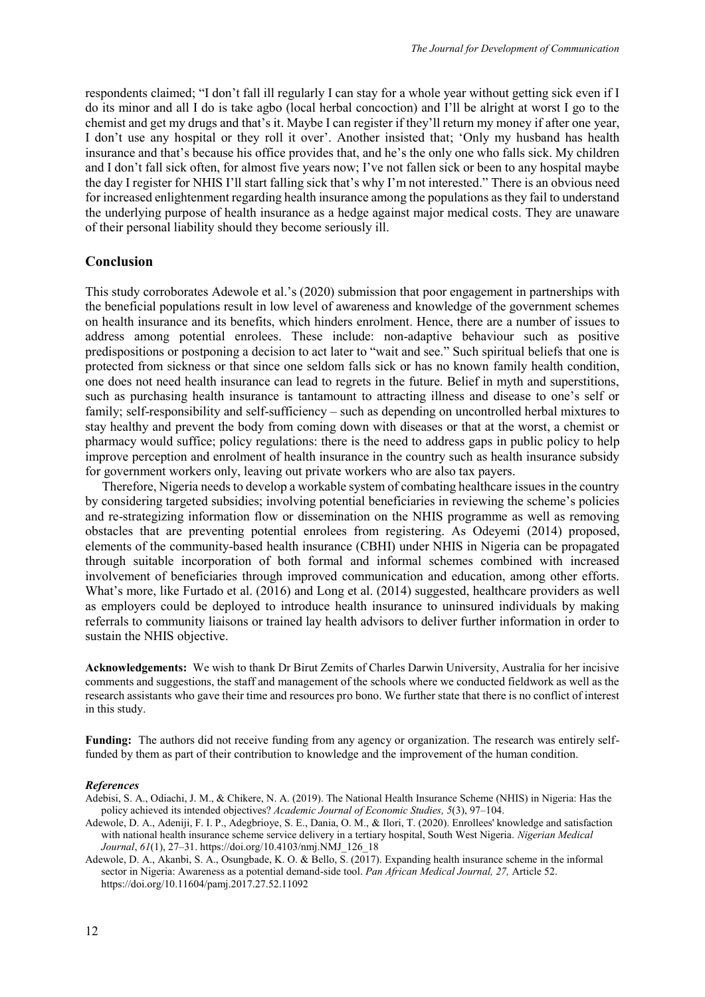respondents claimed; "I don't fall ill regularly I can stay for a whole year without getting sick even if I do its minor and all I do is take agbo (local herbal concoction) and I'll be alright at worst I go to the chemist and get my drugs and that's it. Maybe I can register if they'll return my money if after one year, I don't use any hospital or they roll it over'. Another insisted that; 'Only my husband has health insurance and that's because his office provides that, and he's the only one who falls sick. My children and I don't fall sick often, for almost five years now; I've not fallen sick or been to any hospital maybe the day I register for NHIS I'll start falling sick that's why I'm not interested." There is an obvious need for increased enlightenment regarding health insurance among the populations as they fail to understand the underlying purpose of health insurance as a hedge against major medical costs. They are unaware of their personal liability should they become seriously ill.

#### **Conclusion**

This study corroborates Adewole et al.'s (2020) submission that poor engagement in partnerships with the beneficial populations result in low level of awareness and knowledge of the government schemes on health insurance and its benefits, which hinders enrolment. Hence, there are a number of issues to address among potential enrolees. These include: non-adaptive behaviour such as positive predispositions or postponing a decision to act later to "wait and see." Such spiritual beliefs that one is protected from sickness or that since one seldom falls sick or has no known family health condition, one does not need health insurance can lead to regrets in the future. Belief in myth and superstitions, such as purchasing health insurance is tantamount to attracting illness and disease to one's self or family; self-responsibility and self-sufficiency – such as depending on uncontrolled herbal mixtures to stay healthy and prevent the body from coming down with diseases or that at the worst, a chemist or pharmacy would suffice; policy regulations: there is the need to address gaps in public policy to help improve perception and enrolment of health insurance in the country such as health insurance subsidy for government workers only, leaving out private workers who are also tax payers.

Therefore, Nigeria needs to develop a workable system of combating healthcare issues in the country by considering targeted subsidies; involving potential beneficiaries in reviewing the scheme's policies and re-strategizing information flow or dissemination on the NHIS programme as well as removing obstacles that are preventing potential enrolees from registering. As Odeyemi (2014) proposed, elements of the community-based health insurance (CBHI) under NHIS in Nigeria can be propagated through suitable incorporation of both formal and informal schemes combined with increased involvement of beneficiaries through improved communication and education, among other efforts. What's more, like Furtado et al. (2016) and Long et al. (2014) suggested, healthcare providers as well as employers could be deployed to introduce health insurance to uninsured individuals by making referrals to community liaisons or trained lay health advisors to deliver further information in order to sustain the NHIS objective.

**Acknowledgements:** We wish to thank Dr Birut Zemits of Charles Darwin University, Australia for her incisive comments and suggestions, the staff and management of the schools where we conducted fieldwork as well as the research assistants who gave their time and resources pro bono. We further state that there is no conflict of interest in this study.

**Funding:** The authors did not receive funding from any agency or organization. The research was entirely selffunded by them as part of their contribution to knowledge and the improvement of the human condition.

#### *References*

Adebisi, S. A., Odiachi, J. M., & Chikere, N. A. (2019). The National Health Insurance Scheme (NHIS) in Nigeria: Has the policy achieved its intended objectives? *[Academic Journal of Economic Studies,](https://ideas.repec.org/s/khe/scajes.html) 5*(3), 97–104.

Adewole, D. A., Adeniji, F. I. P., Adegbrioye, S. E., Dania, O. M., & Ilori, T. (2020). Enrollees' knowledge and satisfaction with national health insurance scheme service delivery in a tertiary hospital, South West Nigeria. *Nigerian Medical Journal*, *61*(1), 27–31. https://doi.org[/10.4103/nmj.NMJ\\_126\\_18](https://doi.org/10.4103/nmj.nmj_126_18)

Adewole, D. A., Akanbi, S. A., Osungbade, K. O. & Bello, S. (2017). Expanding health insurance scheme in the informal sector in Nigeria: Awareness as a potential demand-side tool. *Pan African Medical Journal, 27,* Article 52. https://doi.org/10.11604/pamj.2017.27.52.11092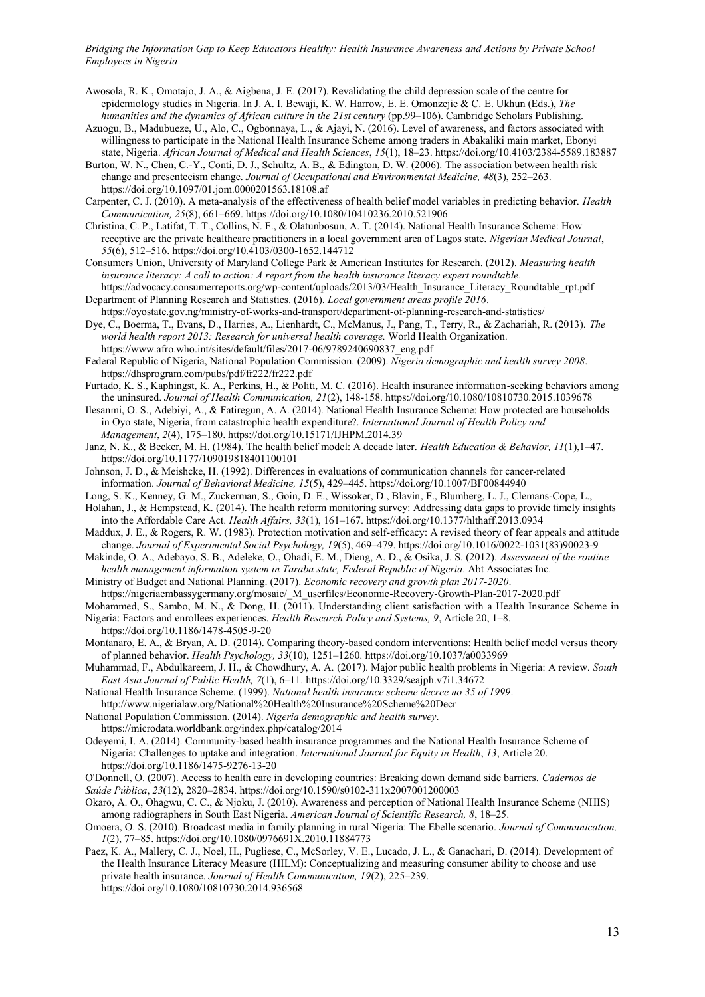Awosola, R. K., Omotajo, J. A., & Aigbena, J. E. (2017). Revalidating the child depression scale of the centre for epidemiology studies in Nigeria. In J. A. I. Bewaji, K. W. Harrow, E. E. Omonzejie & C. E. Ukhun (Eds.), *The humanities and the dynamics of African culture in the 21st century* (pp.99–106). Cambridge Scholars Publishing.

- Azuogu, B., Madubueze, U., Alo, C., Ogbonnaya, L., & Ajayi, N. (2016). Level of awareness, and factors associated with willingness to participate in the National Health Insurance Scheme among traders in Abakaliki main market, Ebonyi state, Nigeria. *African Journal of Medical and Health Sciences*, *15*(1), 18–23. https://doi.or[g/10.4103/2384-5589.183887](http://dx.doi.org/10.4103/2384-5589.183887)
- Burton, W. N., Chen, C.-Y., Conti, D. J., Schultz, A. B., & Edington, D. W. (2006). The association between health risk change and presenteeism change. *Journal of Occupational and Environmental Medicine, 48*(3), 252–263. https://doi.org/10.1097/01.jom.0000201563.18108.af
- Carpenter, C. J. (2010). A meta-analysis of the effectiveness of health belief model variables in predicting behavior. *Health Communication, 25*(8), 661–669. https://doi.org/10.1080/10410236.2010.521906
- Christina, C. P., Latifat, T. T., Collins, N. F., & Olatunbosun, A. T. (2014). National Health Insurance Scheme: How receptive are the private healthcare practitioners in a local government area of Lagos state. *Nigerian Medical Journal*, *55*(6), 512–516. https://doi.org/10.4103/0300-1652.144712
- Consumers Union, University of Maryland College Park & American Institutes for Research. (2012). *Measuring health insurance literacy: A call to action: A report from the health insurance literacy expert roundtable*.
- https://advocacy.consumerreports.org/wp-content/uploads/2013/03/Health\_Insurance\_Literacy\_Roundtable\_rpt.pdf Department of Planning Research and Statistics. (2016). *Local government areas profile 2016*.
- https://oyostate.gov.ng/ministry-of-works-and-transport/department-of-planning-research-and-statistics/ Dye, C., Boerma, T., Evans, D., Harries, A., Lienhardt, C., McManus, J., Pang, T., Terry, R., & Zachariah, R. (2013). *The world health report 2013: Research for universal health coverage.* World Health Organization. https://www.afro.who.int/sites/default/files/2017-06/9789240690837\_eng.pdf
- Federal Republic of Nigeria, National Population Commission. (2009). *Nigeria demographic and health survey 2008*. https://dhsprogram.com/pubs/pdf/fr222/fr222.pdf
- Furtado, K. S., Kaphingst, K. A., Perkins, H., & Politi, M. C. (2016). Health insurance information-seeking behaviors among the uninsured. *Journal of Health Communication, 21*(2), 148-158[. https://doi.org/10.1080/10810730.2015.1039678](https://doi.org/10.1080/10810730.2015.1039678)
- Ilesanmi, O. S., Adebiyi, A., & Fatiregun, A. A. (2014). National Health Insurance Scheme: How protected are households in Oyo state, Nigeria, from catastrophic health expenditure?. *International Journal of Health Policy and Management*, *2*(4), 175–180. https://doi.or[g/10.15171/IJHPM.2014.39](https://dx.doi.org/10.15171/ijhpm.2014.39)
- Janz, N. K., & Becker, M. H. (1984). The health belief model: A decade later. *Health Education & Behavior, 11*(1),1–47. https://doi.org/10.1177/109019818401100101
- Johnson, J. D., & Meishcke, H. (1992). Differences in evaluations of communication channels for cancer-related information. *Journal of Behavioral Medicine, 15*(5), 429–445. https://doi.or[g/10.1007/BF00844940](https://doi.org/10.1007/bf00844940)
- Long, S. K., Kenney, G. M., Zuckerman, S., Goin, D. E., Wissoker, D., Blavin, F., Blumberg, L. J., Clemans-Cope, L., Holahan, J., & Hempstead, K. (2014). The health reform monitoring survey: Addressing data gaps to provide timely insights
- into the Affordable Care Act. *Health Affairs, 33*(1), 161–167[. https://doi.org/10.1377/hlthaff.2013.0934](https://doi.org/10.1377/hlthaff.2013.0934)
- Maddux, J. E., & Rogers, R. W. (1983)*.* Protection motivation and self-efficacy: A revised theory of fear appeals and attitude change. *Journal of Experimental Social Psychology, 19*(5), 469–479. https://doi.org/10.1016/0022-1031(83)90023-9
- Makinde, O. A., Adebayo, S. B., Adeleke, O., Ohadi, E. M., Dieng, A. D., & Osika, J. S. (2012). *Assessment of the routine health management information system in Taraba state, Federal Republic of Nigeria*. Abt Associates Inc.
- Ministry of Budget and National Planning. (2017). *Economic recovery and growth plan 2017-2020*. https://nigeriaembassygermany.org/mosaic/\_M\_userfiles/Economic-Recovery-Growth-Plan-2017-2020.pdf
- Mohammed, S., Sambo, M. N., & Dong, H. (2011). Understanding client satisfaction with a Health Insurance Scheme in
- Nigeria: Factors and enrollees experiences. *Health Research Policy and Systems, 9*, Article 20, 1–8. https://doi.org/10.1186/1478-4505-9-20
- Montanaro, E. A., & Bryan, A. D. (2014). Comparing theory-based condom interventions: Health belief model versus theory of planned behavior. *Health Psychology, 33*(10), 1251–1260. https://doi.org/10.1037/a0033969
- Muhammad, F., Abdulkareem, J. H., & Chowdhury, A. A. (2017). Major public health problems in Nigeria: A review. *South East Asia Journal of Public Health, 7*(1), 6–11[. https://doi.org/10.3329/seajph.v7i1.34672](https://doi.org/10.3329/seajph.v7i1.34672)
- National Health Insurance Scheme. (1999). *National health insurance scheme decree no 35 of 1999*.
- http://www.nigerialaw.org/National%20Health%20Insurance%20Scheme%20Decr National Population Commission. (2014). *Nigeria demographic and health survey*.
- https://microdata.worldbank.org/index.php/catalog/2014
- Odeyemi, I. A. (2014). Community-based health insurance programmes and the National Health Insurance Scheme of Nigeria: Challenges to uptake and integration. *International Journal for Equity in Health*, *13*, Article 20. https://doi.or[g/10.1186/1475-9276-13-20](https://dx.doi.org/10.1186%2F1475-9276-13-20)
- O'Donnell, O. (2007). Access to health care in developing countries: Breaking down demand side barriers. *Cadernos de*
- *Saúde Pública*, *23*(12), 2820–2834. https://doi.org/10.1590/s0102-311x2007001200003
- Okaro, A. O., Ohagwu, C. C., & Njoku, J. (2010). Awareness and perception of National Health Insurance Scheme (NHIS) among radiographers in South East Nigeria. *American Journal of Scientific Research, 8*, 18–25.
- Omoera, O. S. (2010). Broadcast media in family planning in rural Nigeria: The Ebelle scenario. *Journal of Communication, 1*(2), 77–85. https://doi.org/10.1080/0976691X.2010.11884773
- Paez, K. A., Mallery, C. J., Noel, H., Pugliese, C., McSorley, V. E., Lucado, J. L., & Ganachari, D. (2014). Development of the Health Insurance Literacy Measure (HILM): Conceptualizing and measuring consumer ability to choose and use private health insurance. *Journal of Health Communication, 19*(2), 225–239. https://doi.org/10.1080/10810730.2014.936568